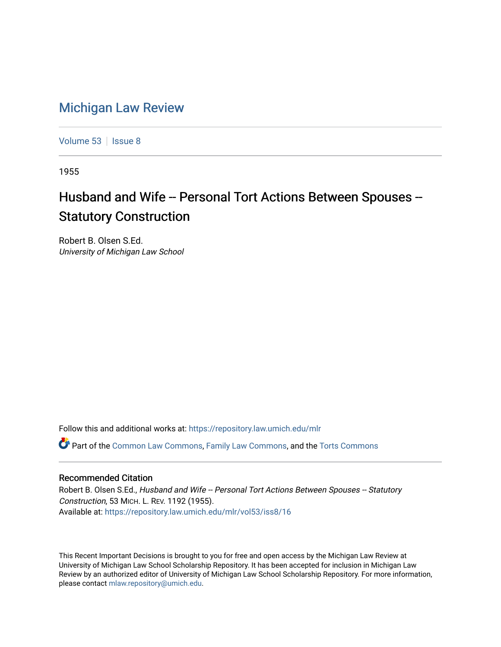## [Michigan Law Review](https://repository.law.umich.edu/mlr)

[Volume 53](https://repository.law.umich.edu/mlr/vol53) | [Issue 8](https://repository.law.umich.edu/mlr/vol53/iss8)

1955

## Husband and Wife -- Personal Tort Actions Between Spouses --Statutory Construction

Robert B. Olsen S.Ed. University of Michigan Law School

Follow this and additional works at: [https://repository.law.umich.edu/mlr](https://repository.law.umich.edu/mlr?utm_source=repository.law.umich.edu%2Fmlr%2Fvol53%2Fiss8%2F16&utm_medium=PDF&utm_campaign=PDFCoverPages) 

Part of the [Common Law Commons,](http://network.bepress.com/hgg/discipline/1120?utm_source=repository.law.umich.edu%2Fmlr%2Fvol53%2Fiss8%2F16&utm_medium=PDF&utm_campaign=PDFCoverPages) [Family Law Commons,](http://network.bepress.com/hgg/discipline/602?utm_source=repository.law.umich.edu%2Fmlr%2Fvol53%2Fiss8%2F16&utm_medium=PDF&utm_campaign=PDFCoverPages) and the [Torts Commons](http://network.bepress.com/hgg/discipline/913?utm_source=repository.law.umich.edu%2Fmlr%2Fvol53%2Fiss8%2F16&utm_medium=PDF&utm_campaign=PDFCoverPages)

## Recommended Citation

Robert B. Olsen S.Ed., Husband and Wife -- Personal Tort Actions Between Spouses -- Statutory Construction, 53 MICH. L. REV. 1192 (1955). Available at: [https://repository.law.umich.edu/mlr/vol53/iss8/16](https://repository.law.umich.edu/mlr/vol53/iss8/16?utm_source=repository.law.umich.edu%2Fmlr%2Fvol53%2Fiss8%2F16&utm_medium=PDF&utm_campaign=PDFCoverPages) 

This Recent Important Decisions is brought to you for free and open access by the Michigan Law Review at University of Michigan Law School Scholarship Repository. It has been accepted for inclusion in Michigan Law Review by an authorized editor of University of Michigan Law School Scholarship Repository. For more information, please contact [mlaw.repository@umich.edu.](mailto:mlaw.repository@umich.edu)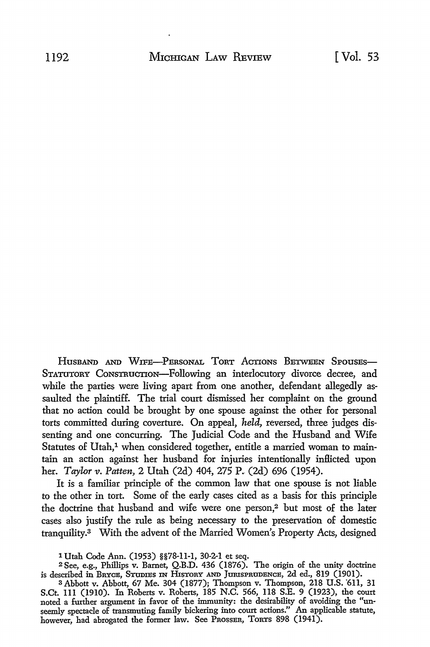HUSBAND AND WIFE-PERSONAL TORT ACTIONS BETWEEN SPOUSES-STATUTORY CoNSTRUCTION-Following an interlocutory divorce decree, and while the parties were living apart from one another, defendant allegedly assaulted the plaintiff. The trial court dismissed her complaint on the ground that no action could be brought by one spouse against the other for personal torts committed during coverture. On appeal, *held,* reversed, three judges dissenting and one concurring. The Judicial Code and the Husband and Wife Statutes of Utah,<sup>1</sup> when considered together, entitle a married woman to maintain an action against her husband for injuries intentionally inflicted upon her. *Taylor v. Patten*, 2 Utah (2d) 404, 275 P. (2d) 696 (1954).

It is a familiar principle of the common law that one spouse is not liable to the other in tort. Some of the early cases cited as a basis for this principle the doctrine that husband and wife were one person,2 but most of the later cases also justify the rule as being necessary to the preservation of domestic tranquility.3 With the advent of the Married Women's Property Acts, designed

<sup>1</sup> Utah Code Ann. (1953) §§78-11-1, 30-2-1 et seq.

<sup>2</sup>See, e.g., Phillips v. Barnet, Q.B.D. 436 (1876). The origin of the unity doctrine is described in BRYCE, STUDIES IN HisTORY AND JumsPRODBNCE, 2d ed., 819 (1901).

<sup>3</sup> Abbott v. Abbott, 67 Me. 304 (1877); Thompson v. Thompson, 218 U.S. '611, 31 S.Ct. 111 (1910). In Roberts v. Roberts, 185 N.C. 566, 118 S.E. 9 (1923), the court noted a further argument in favor of the immunity: the desirability of avoiding the "unseemly spectacle of transmuting family bickering into court actions." An applicable statute, however, had abrogated the former law. See PROSSER, TORTS 898 (1941).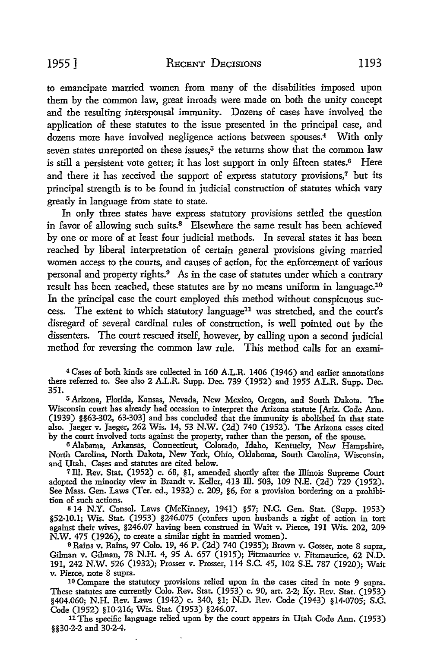to emancipate married women from many of the disabilities imposed upon them by the common law, great inroads were made on both the unity concept and the resulting interspousal immunity. Dozens of cases have involved the application of these statutes to the issue presented in the principal case, and dozens more have involved negligence actions between spouses.4 With only seven states unreported on these issues, $5$  the returns show that the common law is still a persistent vote getter; it has lost support in only fifteen states.<sup>6</sup> Here and there it has received the support of express statutory provisions,<sup>7</sup> but its principal strength is to be found in judicial construction of statutes which vary greatly in language from state to state.

In only three states have express statutory provisions settled the question in favor of allowing such suits. $8$  Elsewhere the same result has been achieved by one or more of at least four judicial methods. In several states it has been reached by liberal interpretation of certain general provisions giving married women access to the courts, and causes of action, for the enforcement of various personal and property rights.<sup>9</sup> As in the case of statutes under which a contrary result has been reached, these statutes are by no means uniform in language.10 In the principal case the court employed this method without conspicuous success. The extent to which statutory language<sup>11</sup> was stretched, and the court's disregard of several cardinal rules of construction, is well pointed out by the dissenters. The court rescued itself, however, by calling upon a second judicial method for reversing the common law rule. This method calls for an exami-

<sup>4</sup> Cases of both kinds are collected in 160 A.L.R. 1406 (1946) and earlier annotations there referred to. See also 2 A.L.R. Supp. Dec. 739 (1952) and 1955 A.L.R. Supp. Dec. 351.

<sup>5</sup>Arizona, Florida, Kansas, Nevada, New Mexico, Oregon, and South Dakota. The Wisconsin court has already had occasion to interpret the Arizona statute [Ariz. Code Ann. (1939) §§63-302, 63-303] and has concluded that the immunity is abolished in that state also. Jaeger v. Jaeger, 262 Wis. 14, 53 N.W. (2d) 740 (1952). The Arizona cases cited by the court involved torts against the property, rather than the person, of the spouse.

6 Alabama, Arkansas, Connecticut, Colorado, Idaho, Kentucky, New Hampshire, North Carolina, North Dakota, New York, Ohio, Oklahoma, South Carolina, Wisconsin, and Utah. Cases and statutes are cited below.

<sup>7</sup> Ill. Rev. Stat. (1952) c. 68, §1, amended shortly after the Illinois Supreme Court adopted the minority view in Brandt v. Keller, 413 Ill. 503, 109 N.E. (2d) 729 (1952). See Mass. Gen. Laws (Ter. ed., 1932) c. 209, §6, for a provision bordering on a prohibition of such actions.

s 14 N.Y. Consol. Laws (McKinney, 1941) §57; N.C. Gen. Stat. (Supp. 1953) §52-10.1; Wis. Stat. (1953) §246.075 (confers upon husbands a right of action in tort against their wives, §246.07 having been construed in Wait v. Pierce, 191 Wis. 202, 209- N.W. 475 (1926), to create a similar right in married women).

<sup>9</sup>Rains v. Rains, 97 Colo. 19, 46 P. (2d) 740 (1935); Brown v. Gosser, note 8 supra, Gilman v. Gilman, 78 N.H. 4, 95 A. 657 (1915); Fitzmaurice v. Fitzmaurice, 62 N.D. 191, 242 N.W. 526 (1932); Prosser v. Prosser, 114 S.C. 45, 102 S.E. 787 (1920); Wait v. Pierce, note 8 supra.

10 Compare the statutory provisions relied upon in the cases cited in note 9 supra. These statutes are currently Colo. Rev. Stat. (1953) c. 90, art. 2-2; Ky. Rev. Stat. (1953) §404.060; N.H. Rev. Laws (1942) c. 340, §1; N.D. Rev. Code (1943) §14-0705; S.C. Code (1952) §10-216; Wis. Stat. (1953) §246.07.

<sup>11</sup>The specific language relied upon by the court appears in Utah Code Ann. (1953) §§30-2-2 and 30-2-4.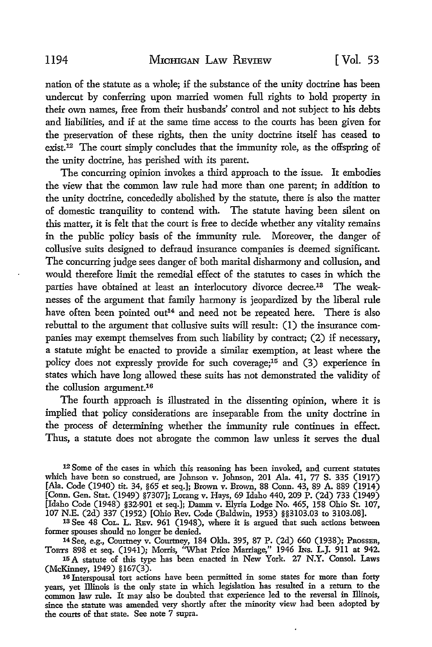nation of the statute as a whole; if the substance of the unity doctrine has been undercut by conferring upon married women full rights to hold property in their own names, free from their husbands' control and not subject to his debts and liabilities, and if at the same time access to the courts has been given for the preservation of these rights, then the unity doctrine itself has ceased to exist.12 The court simply concludes that the immunity role, as the offspring of the unity doctrine, has perished with its parent.

The concurring opinion invokes a third approach to the issue. It embodies the view that the common law rule had more than one parent; in addition to the unity doctrine, concededly abolished by the statute, there is also the matter of domestic tranquility to contend with. The statute having been silent on this matter, it is felt that the court is free to decide whether any vitality remains in the public policy basis of the immunity rule. Moreover, the danger of collusive suits designed to defraud insurance companies is deemed significant. The concurring judge sees danger of both marital disharmony and collusion, and would therefore limit the remedial effect of the statutes to cases in which the parties have obtained at least an interlocutory divorce decree.13 The weaknesses of the argument that family harmony is jeopardized by the liberal rule have often been pointed out<sup>14</sup> and need not be repeated here. There is also rebuttal to the argument that collusive suits will result: (1) the insurance companies may exempt themselves from such liability by contract; (2) if necessary, a statute might be enacted to provide a similar exemption, at least where the policy does not expressly provide for such coverage;15 and (3) experience in states which have long allowed these suits has not demonstrated the validity of the collusion argument.16

The fourth approach is illustrated in the dissenting opinion, where it is implied that policy considerations are inseparable from the unity doctrine in the process of determining whether the immunity rule continues in effect. Thus, a statute does not abrogate the common law unless it serves the dual

<sup>12</sup>Some of the cases in which this reasoning has been invoked, and current statutes which have been so construed, are Johnson v. Johnson, 201 Ala. 41, 77 S. 335 (1917) [Ala. Code (1940) tit. 34, §65 et seq.]; Brown v. Brown, 88 Conn. 43, 89 A. 889 (1914) [Conn. Gen. Stat. (1949) §7307]; Lorang v. Hays, 69 Idaho 440, 209 P. (2d) 733 (1949) [Idaho Code (1948) §32-901 et seq.]; Damm v. Elyria Lodge No. 465, 158 Ohio St. 107, 107 N.E. (2d) 337 (1952) [Ohio Rev. Code (Baldwin, 1953) §§3103.03 to 3103.08].

13 See 48 CoL. L. REv. 961 (1948), where it is argued that such actions between former spouses should no longer be denied.

14 See, e.g., Courtney v. Courtney, 184 Okla. 395, 87 P. (2d) 660 (1938); PROSSER, TORTS 898 et seq. (1941); Morris, "What Price Marriage," 1946 Ins. L.J. 911 at 942. 15 A statute of this type has been enacted in New York. 27 N.Y. Consol. Laws

(McKinney, 1949) §167(3). 16 Interspousal tort actions have been permitted in some states for more than forty years, yet Illinois is the only state in which legislation has resulted in a return to the common law rule. It may also be doubted that experience led to the reversal in Illinois, since the statute was amended very shortly after the minority view had been adopted by the courts of that state. See note 7 supra.